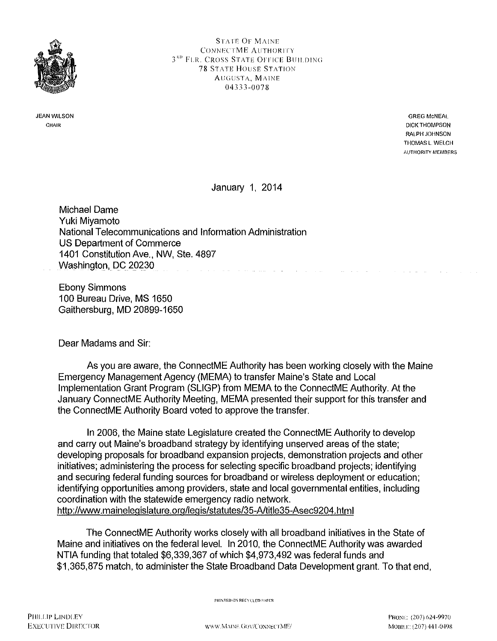

JEAN WILSON CHAIR

STATE OF MAINE CONNECTME AUTHORITY 3<sup>RD</sup> FLR. CROSS STATE OFFICE BUILDING **78 STATE HOUSE STATION** AUGUSTA, MAINE 04333-0078

> **GREG McNEAL** DICK THOMPSON RALPH JOHNSON THOMAS L WELCH AUTHORITY MEMBERS

and a straight and

January 1, 2014

Michael Dame Yuki Miyamoto National Telecommunications and Information Administration US Department of Commerce 1401 Constitution Ave., NW, Ste. 4897 Washington, DC 20230

Ebony Simmons 1 00 Bureau Drive, MS 1650 Gaithersburg, MD 20899-1650

Dear Madams and Sir:

As you are aware, the ConnectME Authority has been working closely with the Maine Emergency Management Agency (MEMA) to transfer Maine's State and Local Implementation Grant Program (SLIGP) from MEMA to the ConnectME Authority. At the January ConnectME Authority Meeting, MEMA presented their support for this transfer and the ConnectME Authority Board voted to approve the transfer.

In 2006, the Maine state Legislature created the ConnectME Authority to develop and carry out Maine's broadband strategy by identifying unserved areas of the state; developing proposals for broadband expansion projects, demonstration projects and other initiatives; administering the process for selecting specific broadband projects; identifying and securing federal funding sources for broadband or wireless deployment or education; identifying opportunities among providers, state and local governmental entities, including coordination with the statewide emergency radio network. http://www.mainelegislature.org/legis/statutes/35-A/title35-Asec9204.html

The ConnectME Authority works closely with all broadband initiatives in the State of Maine and initiatives on the federal level. In 2010, the ConnectME Authority was awarded NTIA funding that totaled \$6,339,367 of which \$4,973,492 was federal funds and \$1,365,875 match, to administer the State Broadband Data Development grant. To that end,

PRINTED ON RECYCLED PAPER